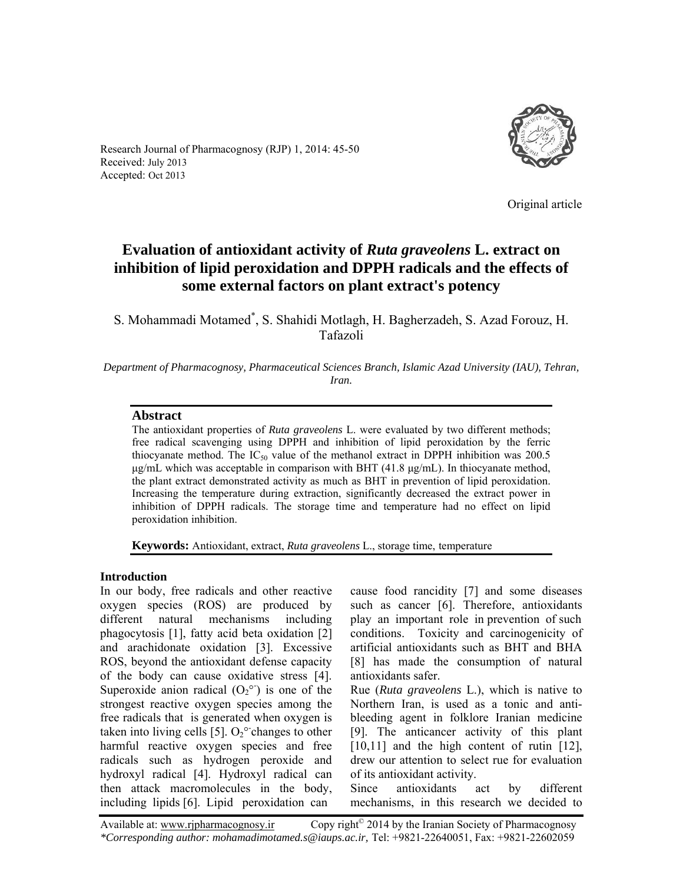

Research Journal of Pharmacognosy (RJP) 1, 2014: 45-50 Received: July 2013 Accepted: Oct 2013

Original article

# **Evaluation of antioxidant activity of** *Ruta graveolens* **L. extract on inhibition of lipid peroxidation and DPPH radicals and the effects of some external factors on plant extract's potency**

S. Mohammadi Motamed\* , S. Shahidi Motlagh, H. Bagherzadeh, S. Azad Forouz, H. Tafazoli

*Department of Pharmacognosy, Pharmaceutical Sciences Branch, Islamic Azad University (IAU), Tehran, Iran.* 

## **Abstract**

The antioxidant properties of *Ruta graveolens* L. were evaluated by two different methods; free radical scavenging using DPPH and inhibition of lipid peroxidation by the ferric thiocyanate method. The IC<sub>50</sub> value of the methanol extract in DPPH inhibition was 200.5 μg/mL which was acceptable in comparison with BHT  $(41.8 \mu g/mL)$ . In thiocyanate method, the plant extract demonstrated activity as much as BHT in prevention of lipid peroxidation. Increasing the temperature during extraction, significantly decreased the extract power in inhibition of DPPH radicals. The storage time and temperature had no effect on lipid peroxidation inhibition.

**Keywords:** Antioxidant, extract, *Ruta graveolens* L., storage time, temperature

# **Introduction**

In our body, free radicals and other reactive oxygen species (ROS) are produced by different natural mechanisms including phagocytosis [1], fatty acid beta oxidation [2] and arachidonate oxidation [3]. Excessive ROS, beyond the antioxidant defense capacity of the body can cause oxidative stress [4]. Superoxide anion radical  $(O_2^{\circ})$  is one of the strongest reactive oxygen species among the free radicals that is generated when oxygen is taken into living cells [5].  $O_2^{\circ}$  changes to other harmful reactive oxygen species and free radicals such as hydrogen peroxide and hydroxyl radical [4]. Hydroxyl radical can then attack macromolecules in the body, including lipids [6]. Lipid peroxidation can

cause food rancidity [7] and some diseases such as cancer [6]. Therefore, antioxidants play an important role in prevention of such conditions. Toxicity and carcinogenicity of artificial antioxidants such as BHT and BHA [8] has made the consumption of natural antioxidants safer.

Rue (*Ruta graveolens* L.), which is native to Northern Iran, is used as a tonic and antibleeding agent in folklore Iranian medicine [9]. The anticancer activity of this plant [10,11] and the high content of rutin [12], drew our attention to select rue for evaluation of its antioxidant activity.

Since antioxidants act by different mechanisms, in this research we decided to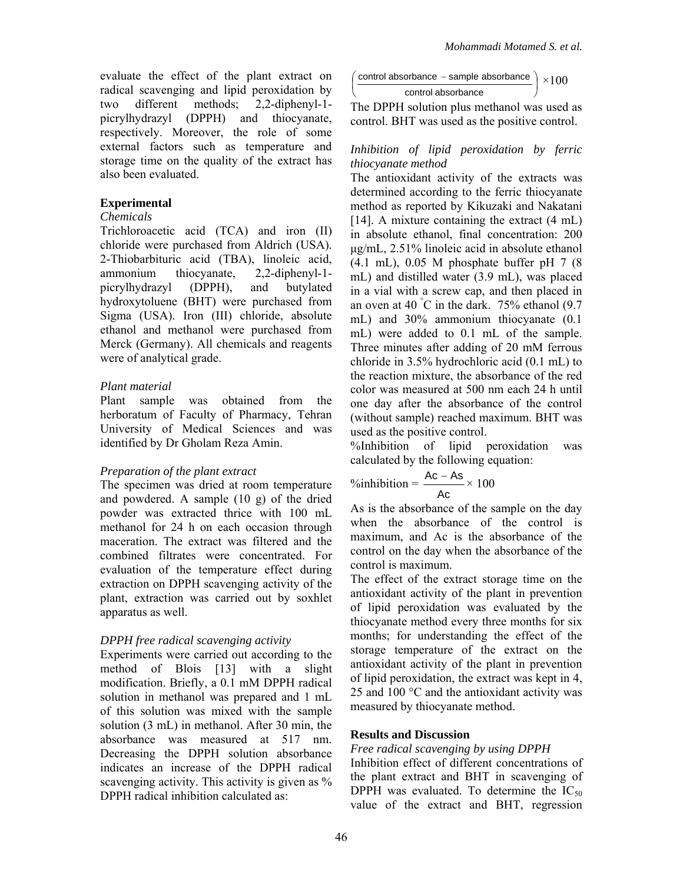evaluate the effect of the plant extract on radical scavenging and lipid peroxidation by two different methods; 2,2-diphenyl-1 picrylhydrazyl (DPPH) and thiocyanate, respectively. Moreover, the role of some external factors such as temperature and storage time on the quality of the extract has also been evaluated.

## **Experimental**

#### *Chemicals*

Trichloroacetic acid (TCA) and iron (II) chloride were purchased from Aldrich (USA). 2-Thiobarbituric acid (TBA), linoleic acid, ammonium thiocyanate, 2,2-diphenyl-1 picrylhydrazyl (DPPH), and butylated hydroxytoluene (BHT) were purchased from Sigma (USA). Iron (III) chloride, absolute ethanol and methanol were purchased from Merck (Germany). All chemicals and reagents were of analytical grade.

### *Plant material*

Plant sample was obtained from the herboratum of Faculty of Pharmacy, Tehran University of Medical Sciences and was identified by Dr Gholam Reza Amin.

#### *Preparation of the plant extract*

The specimen was dried at room temperature and powdered. A sample (10 g) of the dried powder was extracted thrice with 100 mL methanol for 24 h on each occasion through maceration. The extract was filtered and the combined filtrates were concentrated. For evaluation of the temperature effect during extraction on DPPH scavenging activity of the plant, extraction was carried out by soxhlet apparatus as well.

## *DPPH free radical scavenging activity*

Experiments were carried out according to the method of Blois [13] with a slight modification. Briefly, a 0.1 mM DPPH radical solution in methanol was prepared and 1 mL of this solution was mixed with the sample solution (3 mL) in methanol. After 30 min, the absorbance was measured at 517 nm. Decreasing the DPPH solution absorbance indicates an increase of the DPPH radical scavenging activity. This activity is given as % DPPH radical inhibition calculated as:

$$
\left(\frac{\text{control absorbance} - \text{sample absorbance}}{\text{control absorbance}}\right) \times 100
$$

∖

The DPPH solution plus methanol was used as control. BHT was used as the positive control.

## *Inhibition of lipid peroxidation by ferric thiocyanate method*

The antioxidant activity of the extracts was determined according to the ferric thiocyanate method as reported by Kikuzaki and Nakatani [14]. A mixture containing the extract  $(4 \text{ mL})$ in absolute ethanol, final concentration: 200 μg/mL, 2.51% linoleic acid in absolute ethanol  $(4.1 \text{ mL})$ , 0.05 M phosphate buffer pH 7  $(8)$ mL) and distilled water (3.9 mL), was placed in a vial with a screw cap, and then placed in an oven at 40  $\degree$ C in the dark. 75% ethanol (9.7) mL) and 30% ammonium thiocyanate (0.1 mL) were added to 0.1 mL of the sample. Three minutes after adding of 20 mM ferrous chloride in 3.5% hydrochloric acid (0.1 mL) to the reaction mixture, the absorbance of the red color was measured at 500 nm each 24 h until one day after the absorbance of the control (without sample) reached maximum. BHT was used as the positive control.

%Inhibition of lipid peroxidation was calculated by the following equation:

$$
\%inhibition = \frac{Ac - As}{Ac} \times 100
$$

As is the absorbance of the sample on the day when the absorbance of the control is maximum, and Ac is the absorbance of the control on the day when the absorbance of the control is maximum.

The effect of the extract storage time on the antioxidant activity of the plant in prevention of lipid peroxidation was evaluated by the thiocyanate method every three months for six months; for understanding the effect of the storage temperature of the extract on the antioxidant activity of the plant in prevention of lipid peroxidation, the extract was kept in 4, 25 and 100 °C and the antioxidant activity was measured by thiocyanate method.

#### **Results and Discussion**

#### *Free radical scavenging by using DPPH*

Inhibition effect of different concentrations of the plant extract and BHT in scavenging of DPPH was evaluated. To determine the  $IC_{50}$ value of the extract and BHT, regression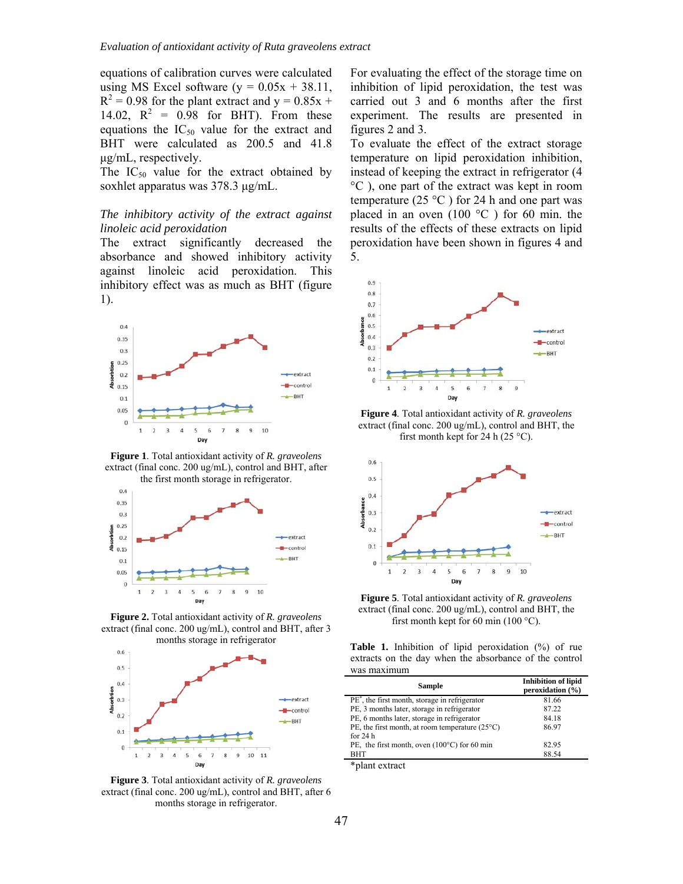equations of calibration curves were calculated using MS Excel software  $(y = 0.05x + 38.11$ ,  $R^2 = 0.98$  for the plant extract and  $y = 0.85x +$ 14.02,  $R^2 = 0.98$  for BHT). From these equations the  $IC_{50}$  value for the extract and BHT were calculated as 200.5 and 41.8 μg/mL, respectively.

The  $IC_{50}$  value for the extract obtained by soxhlet apparatus was 378.3 μg/mL.

#### *The inhibitory activity of the extract against linoleic acid peroxidation*

The extract significantly decreased the absorbance and showed inhibitory activity against linoleic acid peroxidation. This inhibitory effect was as much as BHT (figure 1).



**Figure 1**. Total antioxidant activity of *R. graveolens* extract (final conc. 200 ug/mL), control and BHT, after



**Figure 2.** Total antioxidant activity of *R. graveolens* extract (final conc. 200 ug/mL), control and BHT, after 3 months storage in refrigerator



**Figure 3**. Total antioxidant activity of *R. graveolens* extract (final conc. 200 ug/mL), control and BHT, after 6 months storage in refrigerator.

For evaluating the effect of the storage time on inhibition of lipid peroxidation, the test was carried out 3 and 6 months after the first experiment. The results are presented in figures 2 and 3.

To evaluate the effect of the extract storage temperature on lipid peroxidation inhibition, instead of keeping the extract in refrigerator (4 °C ), one part of the extract was kept in room temperature (25  $^{\circ}$ C) for 24 h and one part was placed in an oven  $(100 \degree C)$  for 60 min. the results of the effects of these extracts on lipid peroxidation have been shown in figures 4 and 5.



**Figure 4**. Total antioxidant activity of *R. graveolens* extract (final conc. 200 ug/mL), control and BHT, the first month kept for 24 h (25  $^{\circ}$ C).



**Figure 5**. Total antioxidant activity of *R. graveolens* extract (final conc. 200 ug/mL), control and BHT, the first month kept for 60 min (100  $^{\circ}$ C).

**Table 1.** Inhibition of lipid peroxidation (%) of rue extracts on the day when the absorbance of the control was maximum

| <b>Sample</b>                                            | <b>Inhibition of lipid</b><br>peroxidation $(\% )$ |
|----------------------------------------------------------|----------------------------------------------------|
| $PE^*$ , the first month, storage in refrigerator        | 81.66                                              |
| PE, 3 months later, storage in refrigerator              | 87.22                                              |
| PE, 6 months later, storage in refrigerator              | 84.18                                              |
| PE, the first month, at room temperature $(25^{\circ}C)$ | 86.97                                              |
| for $24h$                                                |                                                    |
| PE, the first month, oven $(100^{\circ}C)$ for 60 min    | 82.95                                              |
| <b>BHT</b>                                               | 88.54                                              |

\*plant extract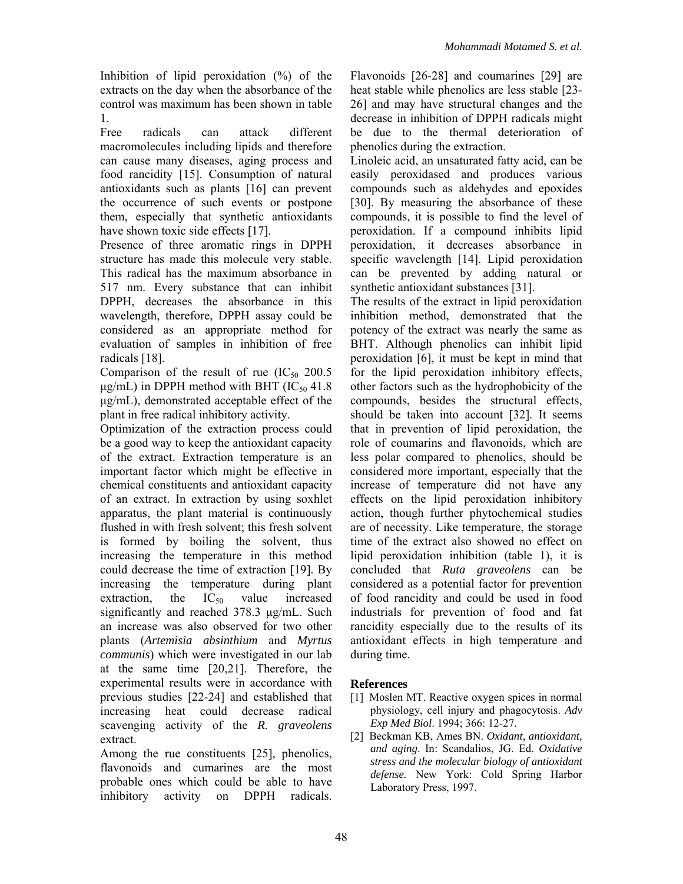Inhibition of lipid peroxidation  $(\%)$  of the extracts on the day when the absorbance of the control was maximum has been shown in table 1.

Free radicals can attack different macromolecules including lipids and therefore can cause many diseases, aging process and food rancidity [15]. Consumption of natural antioxidants such as plants [16] can prevent the occurrence of such events or postpone them, especially that synthetic antioxidants have shown toxic side effects [17].

Presence of three aromatic rings in DPPH structure has made this molecule very stable. This radical has the maximum absorbance in 517 nm. Every substance that can inhibit DPPH, decreases the absorbance in this wavelength, therefore, DPPH assay could be considered as an appropriate method for evaluation of samples in inhibition of free radicals [18].

Comparison of the result of rue  $(IC_{50} 200.5)$  $\mu$ g/mL) in DPPH method with BHT (IC<sub>50</sub> 41.8) μg/mL), demonstrated acceptable effect of the plant in free radical inhibitory activity.

Optimization of the extraction process could be a good way to keep the antioxidant capacity of the extract. Extraction temperature is an important factor which might be effective in chemical constituents and antioxidant capacity of an extract. In extraction by using soxhlet apparatus, the plant material is continuously flushed in with fresh solvent; this fresh solvent is formed by boiling the solvent, thus increasing the temperature in this method could decrease the time of extraction [19]. By increasing the temperature during plant extraction, the  $IC_{50}$  value increased significantly and reached 378.3 μg/mL. Such an increase was also observed for two other plants (*Artemisia absinthium* and *Myrtus communis*) which were investigated in our lab at the same time [20,21]. Therefore, the experimental results were in accordance with previous studies [22-24] and established that increasing heat could decrease radical scavenging activity of the *R. graveolens*  extract.

Among the rue constituents [25], phenolics, flavonoids and cumarines are the most probable ones which could be able to have inhibitory activity on DPPH radicals.

Flavonoids [26-28] and coumarines [29] are heat stable while phenolics are less stable [23- 26] and may have structural changes and the decrease in inhibition of DPPH radicals might be due to the thermal deterioration of phenolics during the extraction.

Linoleic acid, an unsaturated fatty acid, can be easily peroxidased and produces various compounds such as aldehydes and epoxides [30]. By measuring the absorbance of these compounds, it is possible to find the level of peroxidation. If a compound inhibits lipid peroxidation, it decreases absorbance in specific wavelength [14]. Lipid peroxidation can be prevented by adding natural or synthetic antioxidant substances [31].

The results of the extract in lipid peroxidation inhibition method, demonstrated that the potency of the extract was nearly the same as BHT. Although phenolics can inhibit lipid peroxidation [6], it must be kept in mind that for the lipid peroxidation inhibitory effects, other factors such as the hydrophobicity of the compounds, besides the structural effects, should be taken into account [32]. It seems that in prevention of lipid peroxidation, the role of coumarins and flavonoids, which are less polar compared to phenolics, should be considered more important, especially that the increase of temperature did not have any effects on the lipid peroxidation inhibitory action, though further phytochemical studies are of necessity. Like temperature, the storage time of the extract also showed no effect on lipid peroxidation inhibition (table 1), it is concluded that *Ruta graveolens* can be considered as a potential factor for prevention of food rancidity and could be used in food industrials for prevention of food and fat rancidity especially due to the results of its antioxidant effects in high temperature and during time.

# **References**

- [1] Moslen MT. Reactive oxygen spices in normal physiology, cell injury and phagocytosis. *Adv Exp Med Biol*. 1994; 366: 12-27.
- [2] Beckman KB, Ames BN. *Oxidant, antioxidant, and aging*. In: Scandalios, JG. Ed. *Oxidative stress and the molecular biology of antioxidant defense.* New York: Cold Spring Harbor Laboratory Press, 1997.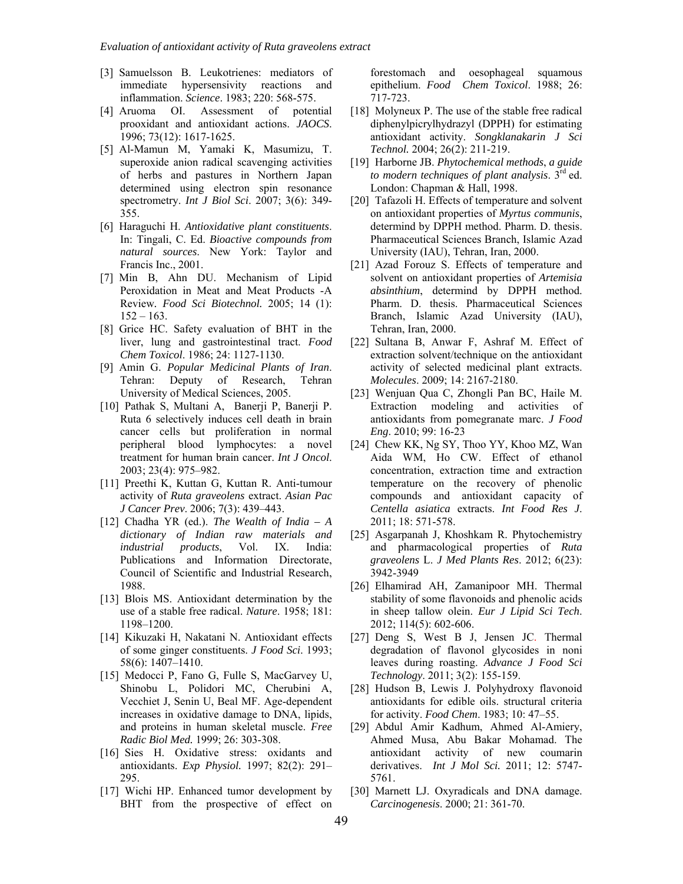- [3] Samuelsson B. Leukotrienes: mediators of immediate hypersensivity reactions and inflammation. *Science*. 1983; 220: 568-575.
- [4] Aruoma OI. Assessment of potential prooxidant and antioxidant actions. *JAOCS*. 1996; 73(12): 1617-1625.
- [5] Al-Mamun M, Yamaki K, Masumizu, T. superoxide anion radical scavenging activities of herbs and pastures in Northern Japan determined using electron spin resonance spectrometry. *Int J Biol Sci*. 2007; 3(6): 349- 355.
- [6] Haraguchi H. *Antioxidative plant constituents*. In: Tingali, C. Ed. *Bioactive compounds from natural sources*. New York: Taylor and Francis Inc., 2001.
- [7] Min B, Ahn DU. Mechanism of Lipid Peroxidation in Meat and Meat Products -A Review*. Food Sci Biotechnol.* 2005; 14 (1):  $152 - 163$ .
- [8] Grice HC. Safety evaluation of BHT in the liver, lung and gastrointestinal tract. *Food Chem Toxicol*. 1986; 24: 1127-1130.
- [9] Amin G. *Popular Medicinal Plants of Iran*. Tehran: Deputy of Research, Tehran University of Medical Sciences, 2005.
- [10] Pathak S, Multani A, Banerji P, Banerji P. Ruta 6 selectively induces cell death in brain cancer cells but proliferation in normal peripheral blood lymphocytes: a novel treatment for human brain cancer. *Int J Oncol*. 2003; 23(4): 975–982.
- [11] Preethi K, Kuttan G, Kuttan R. Anti-tumour activity of *Ruta graveolens* extract. *Asian Pac J Cancer Prev*. 2006; 7(3): 439–443.
- [12] Chadha YR (ed.). *The Wealth of India A dictionary of Indian raw materials and industrial products*, Vol. IX. India: Publications and Information Directorate, Council of Scientific and Industrial Research, 1988.
- [13] Blois MS. Antioxidant determination by the use of a stable free radical. *Nature*. 1958; 181: 1198–1200.
- [14] Kikuzaki H, Nakatani N. Antioxidant effects of some ginger constituents. *J Food Sci*. 1993; 58(6): 1407–1410.
- [15] Medocci P, Fano G, Fulle S, MacGarvey U, Shinobu L, Polidori MC, Cherubini A, Vecchiet J, Senin U, Beal MF. Age-dependent increases in oxidative damage to DNA, lipids, and proteins in human skeletal muscle. *Free Radic Biol Med.* 1999; 26: 303-308.
- [16] Sies H. Oxidative stress: oxidants and antioxidants. *Exp Physiol.* 1997; 82(2): 291– 295.
- [17] Wichi HP. Enhanced tumor development by BHT from the prospective of effect on

forestomach and oesophageal squamous epithelium. *Food Chem Toxicol*. 1988; 26: 717-723.

- [18] Molyneux P. The use of the stable free radical diphenylpicrylhydrazyl (DPPH) for estimating antioxidant activity. *Songklanakarin J Sci Technol.* 2004; 26(2): 211-219.
- [19] Harborne JB. *Phytochemical methods*, *a guide to modern techniques of plant analysis*. 3rd ed. London: Chapman & Hall, 1998.
- [20] Tafazoli H. Effects of temperature and solvent on antioxidant properties of *Myrtus communis*, determind by DPPH method. Pharm. D. thesis. Pharmaceutical Sciences Branch, Islamic Azad University (IAU), Tehran, Iran, 2000.
- [21] Azad Forouz S. Effects of temperature and solvent on antioxidant properties of *Artemisia absinthium*, determind by DPPH method. Pharm. D. thesis. Pharmaceutical Sciences Branch, Islamic Azad University (IAU), Tehran, Iran, 2000.
- [22] Sultana B, Anwar F, Ashraf M. Effect of extraction solvent/technique on the antioxidant activity of selected medicinal plant extracts. *Molecules*. 2009; 14: 2167-2180.
- [23] Wenjuan Qua C, Zhongli Pan BC, Haile M. Extraction modeling and activities of antioxidants from pomegranate marc. *J Food Eng*. 2010; 99: 16-23
- [24] Chew KK, Ng SY, Thoo YY, Khoo MZ, Wan Aida WM, Ho CW. Effect of ethanol concentration, extraction time and extraction temperature on the recovery of phenolic compounds and antioxidant capacity of *Centella asiatica* extracts. *Int Food Res J*. 2011; 18: 571-578.
- [25] Asgarpanah J, Khoshkam R. Phytochemistry and pharmacological properties of *Ruta graveolens* L. *J Med Plants Res*. 2012; 6(23): 3942-3949
- [26] Elhamirad AH, Zamanipoor MH. Thermal stability of some flavonoids and phenolic acids in sheep tallow olein. *Eur J Lipid Sci Tech*. 2012; 114(5): 602-606.
- [27] Deng S, West B J, Jensen JC. Thermal degradation of flavonol glycosides in noni leaves during roasting. *Advance J Food Sci Technology*. 2011; 3(2): 155-159.
- [28] Hudson B, Lewis J. Polyhydroxy flavonoid antioxidants for edible oils. structural criteria for activity. *Food Chem*. 1983; 10: 47–55.
- [29] Abdul Amir Kadhum, Ahmed Al-Amiery, Ahmed Musa, Abu Bakar Mohamad. The antioxidant activity of new coumarin derivatives. *Int J Mol Sci.* 2011; 12: 5747- 5761.
- [30] Marnett LJ. Oxyradicals and DNA damage. *Carcinogenesis*. 2000; 21: 361-70.